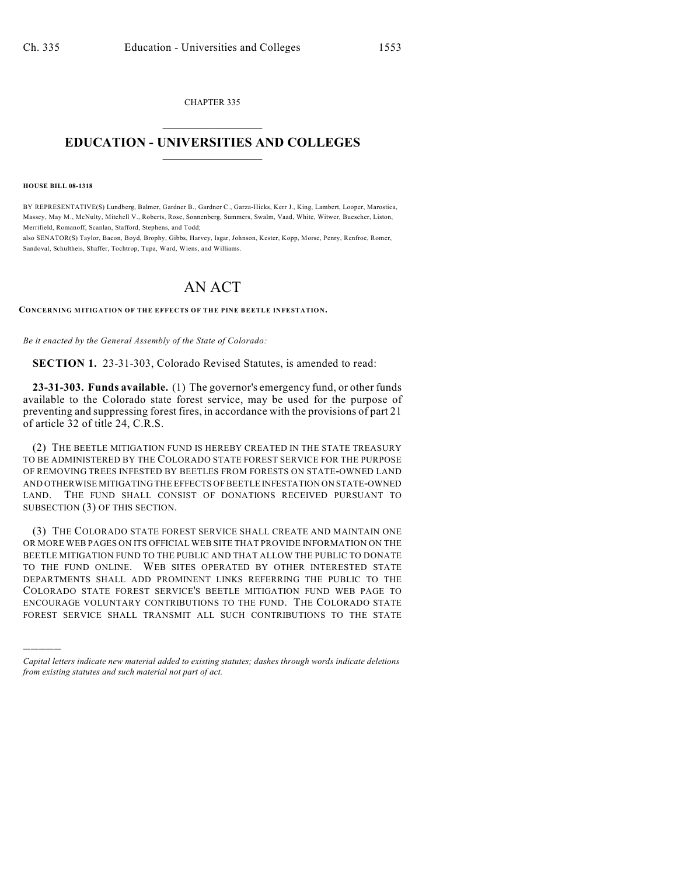CHAPTER 335  $\mathcal{L}_\text{max}$  . The set of the set of the set of the set of the set of the set of the set of the set of the set of the set of the set of the set of the set of the set of the set of the set of the set of the set of the set

## **EDUCATION - UNIVERSITIES AND COLLEGES**  $\frac{1}{2}$  ,  $\frac{1}{2}$  ,  $\frac{1}{2}$  ,  $\frac{1}{2}$  ,  $\frac{1}{2}$  ,  $\frac{1}{2}$  ,  $\frac{1}{2}$

**HOUSE BILL 08-1318**

)))))

BY REPRESENTATIVE(S) Lundberg, Balmer, Gardner B., Gardner C., Garza-Hicks, Kerr J., King, Lambert, Looper, Marostica, Massey, May M., McNulty, Mitchell V., Roberts, Rose, Sonnenberg, Summers, Swalm, Vaad, White, Witwer, Buescher, Liston, Merrifield, Romanoff, Scanlan, Stafford, Stephens, and Todd;

also SENATOR(S) Taylor, Bacon, Boyd, Brophy, Gibbs, Harvey, Isgar, Johnson, Kester, Kopp, Morse, Penry, Renfroe, Romer, Sandoval, Schultheis, Shaffer, Tochtrop, Tupa, Ward, Wiens, and Williams.

## AN ACT

**CONCERNING MITIGATION OF THE EFFECTS OF THE PINE BEETLE INFESTATION.**

*Be it enacted by the General Assembly of the State of Colorado:*

**SECTION 1.** 23-31-303, Colorado Revised Statutes, is amended to read:

**23-31-303. Funds available.** (1) The governor's emergency fund, or other funds available to the Colorado state forest service, may be used for the purpose of preventing and suppressing forest fires, in accordance with the provisions of part 21 of article 32 of title 24, C.R.S.

(2) THE BEETLE MITIGATION FUND IS HEREBY CREATED IN THE STATE TREASURY TO BE ADMINISTERED BY THE COLORADO STATE FOREST SERVICE FOR THE PURPOSE OF REMOVING TREES INFESTED BY BEETLES FROM FORESTS ON STATE-OWNED LAND AND OTHERWISE MITIGATING THE EFFECTS OF BEETLE INFESTATION ON STATE-OWNED LAND. THE FUND SHALL CONSIST OF DONATIONS RECEIVED PURSUANT TO SUBSECTION (3) OF THIS SECTION.

(3) THE COLORADO STATE FOREST SERVICE SHALL CREATE AND MAINTAIN ONE OR MORE WEB PAGES ON ITS OFFICIAL WEB SITE THAT PROVIDE INFORMATION ON THE BEETLE MITIGATION FUND TO THE PUBLIC AND THAT ALLOW THE PUBLIC TO DONATE TO THE FUND ONLINE. WEB SITES OPERATED BY OTHER INTERESTED STATE DEPARTMENTS SHALL ADD PROMINENT LINKS REFERRING THE PUBLIC TO THE COLORADO STATE FOREST SERVICE'S BEETLE MITIGATION FUND WEB PAGE TO ENCOURAGE VOLUNTARY CONTRIBUTIONS TO THE FUND. THE COLORADO STATE FOREST SERVICE SHALL TRANSMIT ALL SUCH CONTRIBUTIONS TO THE STATE

*Capital letters indicate new material added to existing statutes; dashes through words indicate deletions from existing statutes and such material not part of act.*